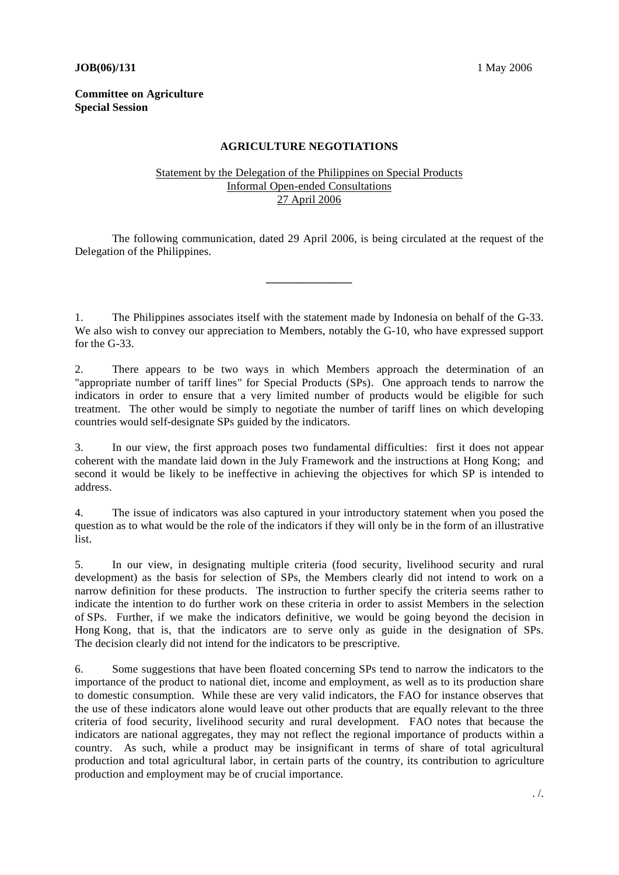## **JOB**(06)/131 1 May 2006

## **Committee on Agriculture Special Session**

## **AGRICULTURE NEGOTIATIONS**

## Statement by the Delegation of the Philippines on Special Products Informal Open-ended Consultations 27 April 2006

 The following communication, dated 29 April 2006, is being circulated at the request of the Delegation of the Philippines.

**\_\_\_\_\_\_\_\_\_\_\_\_\_\_\_** 

1. The Philippines associates itself with the statement made by Indonesia on behalf of the G-33. We also wish to convey our appreciation to Members, notably the G-10, who have expressed support for the G-33.

2. There appears to be two ways in which Members approach the determination of an "appropriate number of tariff lines" for Special Products (SPs). One approach tends to narrow the indicators in order to ensure that a very limited number of products would be eligible for such treatment. The other would be simply to negotiate the number of tariff lines on which developing countries would self-designate SPs guided by the indicators.

3. In our view, the first approach poses two fundamental difficulties: first it does not appear coherent with the mandate laid down in the July Framework and the instructions at Hong Kong; and second it would be likely to be ineffective in achieving the objectives for which SP is intended to address.

4. The issue of indicators was also captured in your introductory statement when you posed the question as to what would be the role of the indicators if they will only be in the form of an illustrative list.

5. In our view, in designating multiple criteria (food security, livelihood security and rural development) as the basis for selection of SPs, the Members clearly did not intend to work on a narrow definition for these products. The instruction to further specify the criteria seems rather to indicate the intention to do further work on these criteria in order to assist Members in the selection of SPs. Further, if we make the indicators definitive, we would be going beyond the decision in Hong Kong, that is, that the indicators are to serve only as guide in the designation of SPs. The decision clearly did not intend for the indicators to be prescriptive.

6. Some suggestions that have been floated concerning SPs tend to narrow the indicators to the importance of the product to national diet, income and employment, as well as to its production share to domestic consumption. While these are very valid indicators, the FAO for instance observes that the use of these indicators alone would leave out other products that are equally relevant to the three criteria of food security, livelihood security and rural development. FAO notes that because the indicators are national aggregates, they may not reflect the regional importance of products within a country. As such, while a product may be insignificant in terms of share of total agricultural production and total agricultural labor, in certain parts of the country, its contribution to agriculture production and employment may be of crucial importance.